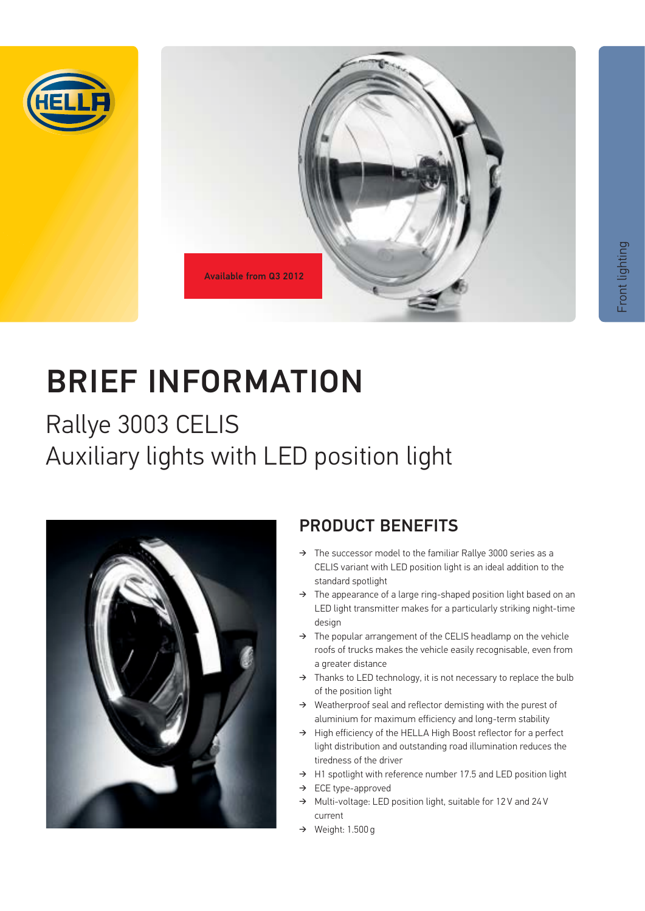



# BRIEF INFORMATION

# Rallye 3003 CELIS Auxiliary lights with LED position light



## PRODUCT BENEFITS

- $\rightarrow$  The successor model to the familiar Rallye 3000 series as a CELIS variant with LED position light is an ideal addition to the standard spotlight
- $\rightarrow$  The appearance of a large ring-shaped position light based on an LED light transmitter makes for a particularly striking night-time design
- $\rightarrow$  The popular arrangement of the CELIS headlamp on the vehicle roofs of trucks makes the vehicle easily recognisable, even from a greater distance
- $\rightarrow$  Thanks to LED technology, it is not necessary to replace the bulb of the position light
- $\rightarrow$  Weatherproof seal and reflector demisting with the purest of aluminium for maximum efficiency and long-term stability
- → High efficiency of the HELLA High Boost reflector for a perfect light distribution and outstanding road illumination reduces the tiredness of the driver
- $\rightarrow$  H1 spotlight with reference number 17.5 and LED position light
- $\rightarrow$  ECE type-approved
- → Multi-voltage: LED position light, suitable for 12 V and 24 V current
- $\rightarrow$  Weight: 1.500 g